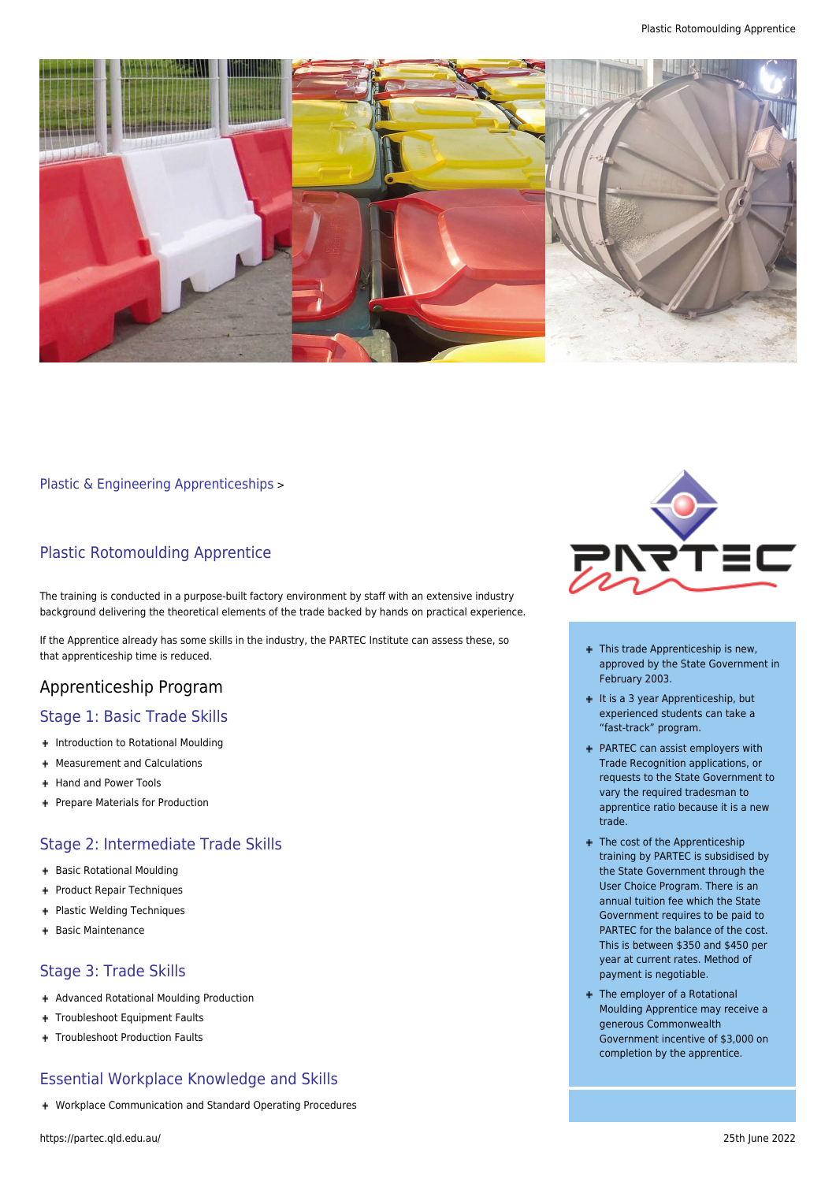

[Plastic & Engineering Apprenticeships](https://partec.qld.edu.au/plastic-engineering-apprenticeships/) >

#### Plastic Rotomoulding Apprentice

The training is conducted in a purpose-built factory environment by staff with an extensive industry background delivering the theoretical elements of the trade backed by hands on practical experience.

If the Apprentice already has some skills in the industry, the PARTEC Institute can assess these, so that apprenticeship time is reduced.

#### Apprenticeship Program

#### Stage 1: Basic Trade Skills

- + Introduction to Rotational Moulding
- Measurement and Calculations ÷.
- + Hand and Power Tools
- + Prepare Materials for Production

# Stage 2: Intermediate Trade Skills

- + Basic Rotational Moulding
- + Product Repair Techniques
- + Plastic Welding Techniques
- + Basic Maintenance

# Stage 3: Trade Skills

- Advanced Rotational Moulding Production
- + Troubleshoot Equipment Faults
- + Troubleshoot Production Faults

# Essential Workplace Knowledge and Skills

Workplace Communication and Standard Operating Procedures



- + This trade Apprenticeship is new, approved by the State Government in February 2003.
- $+$  It is a 3 year Apprenticeship, but experienced students can take a "fast-track" program.
- PARTEC can assist employers with Trade Recognition applications, or requests to the State Government to vary the required tradesman to apprentice ratio because it is a new trade.
- + The cost of the Apprenticeship training by PARTEC is subsidised by the State Government through the User Choice Program. There is an annual tuition fee which the State Government requires to be paid to PARTEC for the balance of the cost. This is between \$350 and \$450 per year at current rates. Method of payment is negotiable.
- The employer of a Rotational Moulding Apprentice may receive a generous Commonwealth Government incentive of \$3,000 on completion by the apprentice.